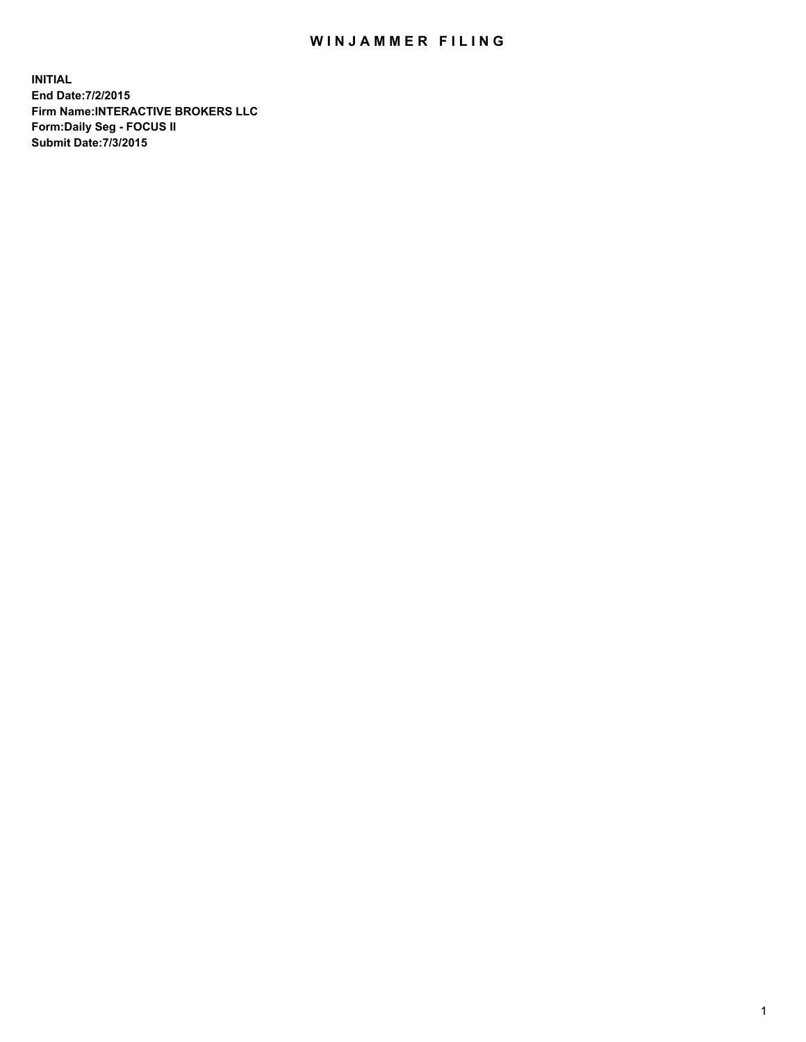## WIN JAMMER FILING

**INITIAL End Date:7/2/2015 Firm Name:INTERACTIVE BROKERS LLC Form:Daily Seg - FOCUS II Submit Date:7/3/2015**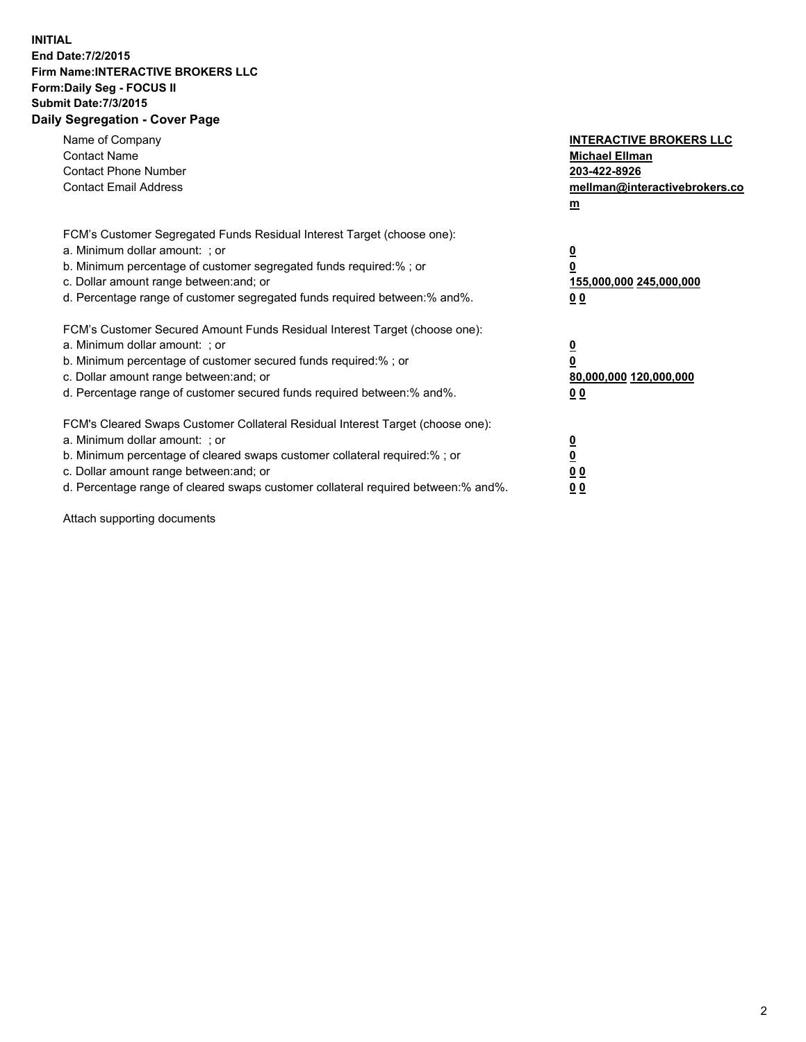## **INITIAL End Date:7/2/2015 Firm Name:INTERACTIVE BROKERS LLC Form:Daily Seg - FOCUS II Submit Date:7/3/2015 Daily Segregation - Cover Page**

| Name of Company<br><b>Contact Name</b><br><b>Contact Phone Number</b><br><b>Contact Email Address</b>                                                                                                                                                                                                                          | <b>INTERACTIVE BROKERS LLC</b><br><b>Michael Ellman</b><br>203-422-8926<br>mellman@interactivebrokers.co<br>$m$ |
|--------------------------------------------------------------------------------------------------------------------------------------------------------------------------------------------------------------------------------------------------------------------------------------------------------------------------------|-----------------------------------------------------------------------------------------------------------------|
| FCM's Customer Segregated Funds Residual Interest Target (choose one):<br>a. Minimum dollar amount: ; or<br>b. Minimum percentage of customer segregated funds required:% ; or<br>c. Dollar amount range between: and; or<br>d. Percentage range of customer segregated funds required between:% and%.                         | $\overline{\mathbf{0}}$<br>0<br>155,000,000 245,000,000<br>0 <sub>0</sub>                                       |
| FCM's Customer Secured Amount Funds Residual Interest Target (choose one):<br>a. Minimum dollar amount: ; or<br>b. Minimum percentage of customer secured funds required:%; or<br>c. Dollar amount range between: and; or<br>d. Percentage range of customer secured funds required between: % and %.                          | $\underline{\mathbf{0}}$<br>0<br>80,000,000 120,000,000<br>0 <sub>0</sub>                                       |
| FCM's Cleared Swaps Customer Collateral Residual Interest Target (choose one):<br>a. Minimum dollar amount: ; or<br>b. Minimum percentage of cleared swaps customer collateral required:% ; or<br>c. Dollar amount range between: and; or<br>d. Percentage range of cleared swaps customer collateral required between:% and%. | $\overline{\mathbf{0}}$<br>$\overline{\mathbf{0}}$<br>0 <sub>0</sub><br>0 <sup>0</sup>                          |

Attach supporting documents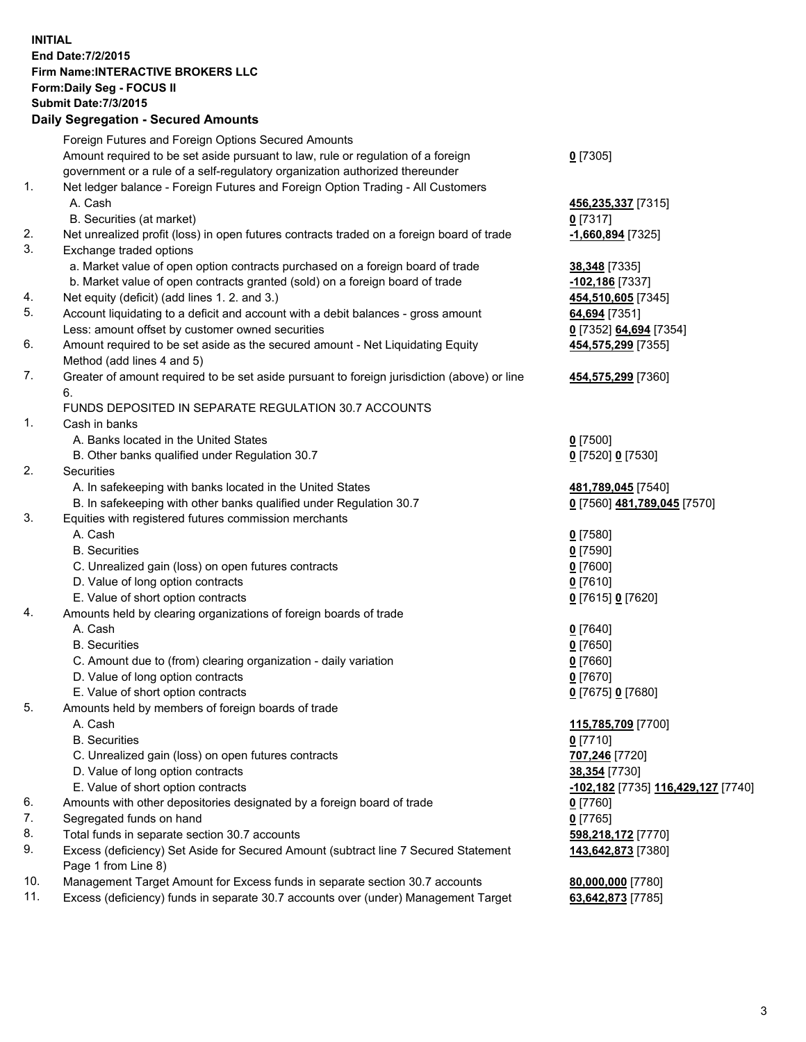**INITIAL End Date:7/2/2015 Firm Name:INTERACTIVE BROKERS LLC Form:Daily Seg - FOCUS II Submit Date:7/3/2015 Daily Segregation - Secured Amounts**

|     | Dany Ocgregation - Oceanea Amounts                                                          |                                    |
|-----|---------------------------------------------------------------------------------------------|------------------------------------|
|     | Foreign Futures and Foreign Options Secured Amounts                                         |                                    |
|     | Amount required to be set aside pursuant to law, rule or regulation of a foreign            | $0$ [7305]                         |
|     | government or a rule of a self-regulatory organization authorized thereunder                |                                    |
| 1.  | Net ledger balance - Foreign Futures and Foreign Option Trading - All Customers             |                                    |
|     | A. Cash                                                                                     | 456,235,337 [7315]                 |
|     | B. Securities (at market)                                                                   | $0$ [7317]                         |
| 2.  | Net unrealized profit (loss) in open futures contracts traded on a foreign board of trade   | -1,660,894 [7325]                  |
| 3.  | Exchange traded options                                                                     |                                    |
|     | a. Market value of open option contracts purchased on a foreign board of trade              | 38,348 [7335]                      |
|     | b. Market value of open contracts granted (sold) on a foreign board of trade                | $-102,186$ [7337]                  |
| 4.  | Net equity (deficit) (add lines 1.2. and 3.)                                                | 454,510,605 [7345]                 |
| 5.  | Account liquidating to a deficit and account with a debit balances - gross amount           | 64,694 [7351]                      |
|     | Less: amount offset by customer owned securities                                            | 0 [7352] 64,694 [7354]             |
| 6.  | Amount required to be set aside as the secured amount - Net Liquidating Equity              | 454,575,299 [7355]                 |
|     | Method (add lines 4 and 5)                                                                  |                                    |
| 7.  | Greater of amount required to be set aside pursuant to foreign jurisdiction (above) or line | 454,575,299 [7360]                 |
|     | 6.                                                                                          |                                    |
|     | FUNDS DEPOSITED IN SEPARATE REGULATION 30.7 ACCOUNTS                                        |                                    |
| 1.  | Cash in banks                                                                               |                                    |
|     | A. Banks located in the United States                                                       | $0$ [7500]                         |
|     | B. Other banks qualified under Regulation 30.7                                              | 0 [7520] 0 [7530]                  |
| 2.  | Securities                                                                                  |                                    |
|     | A. In safekeeping with banks located in the United States                                   | 481,789,045 [7540]                 |
|     | B. In safekeeping with other banks qualified under Regulation 30.7                          | 0 [7560] 481,789,045 [7570]        |
| 3.  | Equities with registered futures commission merchants                                       |                                    |
|     | A. Cash                                                                                     | $0$ [7580]                         |
|     | <b>B.</b> Securities                                                                        | $0$ [7590]                         |
|     | C. Unrealized gain (loss) on open futures contracts                                         | $0$ [7600]                         |
|     | D. Value of long option contracts                                                           | $0$ [7610]                         |
|     | E. Value of short option contracts                                                          | 0 [7615] 0 [7620]                  |
| 4.  | Amounts held by clearing organizations of foreign boards of trade                           |                                    |
|     | A. Cash                                                                                     | $0$ [7640]                         |
|     | <b>B.</b> Securities                                                                        | $0$ [7650]                         |
|     | C. Amount due to (from) clearing organization - daily variation                             | $0$ [7660]                         |
|     | D. Value of long option contracts                                                           | $0$ [7670]                         |
|     | E. Value of short option contracts                                                          | 0 [7675] 0 [7680]                  |
| 5.  | Amounts held by members of foreign boards of trade                                          |                                    |
|     | A. Cash                                                                                     | 115,785,709 [7700]                 |
|     | <b>B.</b> Securities                                                                        | $0$ [7710]                         |
|     | C. Unrealized gain (loss) on open futures contracts                                         | 707,246 [7720]                     |
|     | D. Value of long option contracts                                                           | 38,354 [7730]                      |
|     | E. Value of short option contracts                                                          | -102,182 [7735] 116,429,127 [7740] |
| 6.  | Amounts with other depositories designated by a foreign board of trade                      | $0$ [7760]                         |
| 7.  | Segregated funds on hand                                                                    | $0$ [7765]                         |
| 8.  | Total funds in separate section 30.7 accounts                                               | 598,218,172 [7770]                 |
| 9.  | Excess (deficiency) Set Aside for Secured Amount (subtract line 7 Secured Statement         | 143,642,873 [7380]                 |
|     | Page 1 from Line 8)                                                                         |                                    |
| 10. | Management Target Amount for Excess funds in separate section 30.7 accounts                 | 80,000,000 [7780]                  |
| 11. | Excess (deficiency) funds in separate 30.7 accounts over (under) Management Target          | 63,642,873 [7785]                  |
|     |                                                                                             |                                    |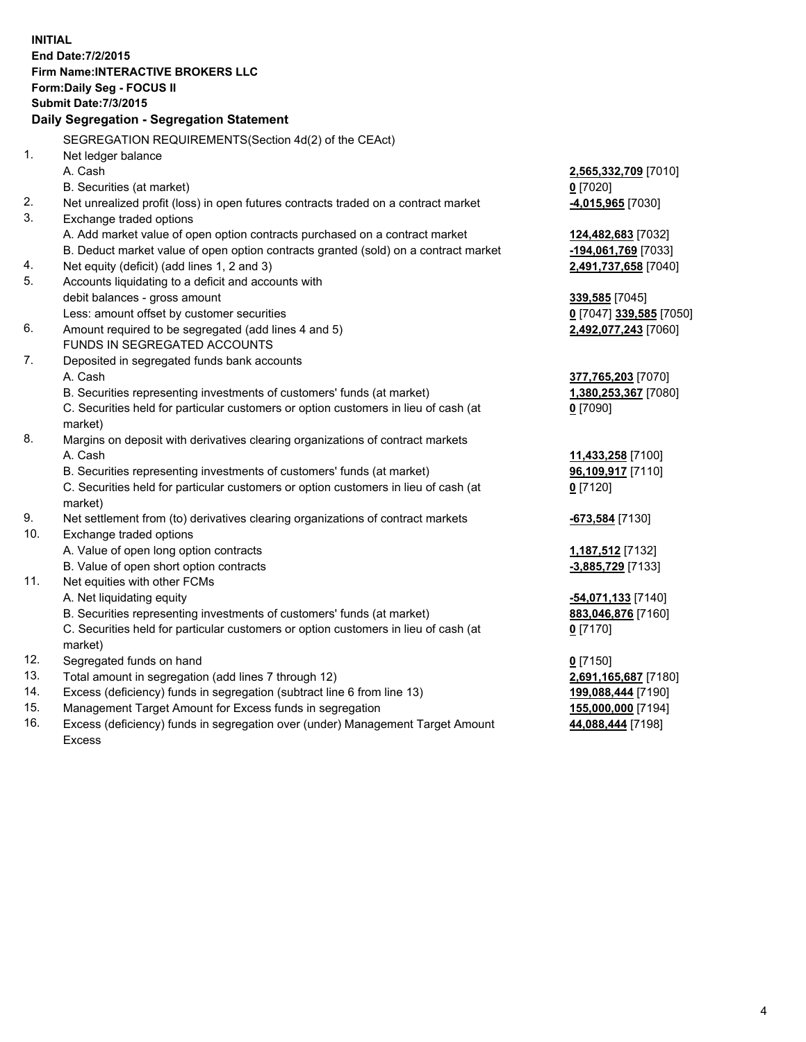**INITIAL End Date:7/2/2015 Firm Name:INTERACTIVE BROKERS LLC Form:Daily Seg - FOCUS II Submit Date:7/3/2015 Daily Segregation - Segregation Statement** SEGREGATION REQUIREMENTS(Section 4d(2) of the CEAct) 1. Net ledger balance A. Cash **2,565,332,709** [7010] B. Securities (at market) **0** [7020] 2. Net unrealized profit (loss) in open futures contracts traded on a contract market **-4,015,965** [7030] 3. Exchange traded options A. Add market value of open option contracts purchased on a contract market **124,482,683** [7032] B. Deduct market value of open option contracts granted (sold) on a contract market **-194,061,769** [7033] 4. Net equity (deficit) (add lines 1, 2 and 3) **2,491,737,658** [7040] 5. Accounts liquidating to a deficit and accounts with debit balances - gross amount **339,585** [7045] Less: amount offset by customer securities **0** [7047] **339,585** [7050] 6. Amount required to be segregated (add lines 4 and 5) **2,492,077,243** [7060] FUNDS IN SEGREGATED ACCOUNTS 7. Deposited in segregated funds bank accounts A. Cash **377,765,203** [7070] B. Securities representing investments of customers' funds (at market) **1,380,253,367** [7080] C. Securities held for particular customers or option customers in lieu of cash (at market) **0** [7090] 8. Margins on deposit with derivatives clearing organizations of contract markets A. Cash **11,433,258** [7100] B. Securities representing investments of customers' funds (at market) **96,109,917** [7110] C. Securities held for particular customers or option customers in lieu of cash (at market) **0** [7120] 9. Net settlement from (to) derivatives clearing organizations of contract markets **-673,584** [7130] 10. Exchange traded options A. Value of open long option contracts **1,187,512** [7132] B. Value of open short option contracts **-3,885,729** [7133] 11. Net equities with other FCMs A. Net liquidating equity **-54,071,133** [7140] B. Securities representing investments of customers' funds (at market) **883,046,876** [7160] C. Securities held for particular customers or option customers in lieu of cash (at market) **0** [7170] 12. Segregated funds on hand **0** [7150] 13. Total amount in segregation (add lines 7 through 12) **2,691,165,687** [7180] 14. Excess (deficiency) funds in segregation (subtract line 6 from line 13) **199,088,444** [7190] 15. Management Target Amount for Excess funds in segregation **155,000,000** [7194]

16. Excess (deficiency) funds in segregation over (under) Management Target Amount Excess

**44,088,444** [7198]